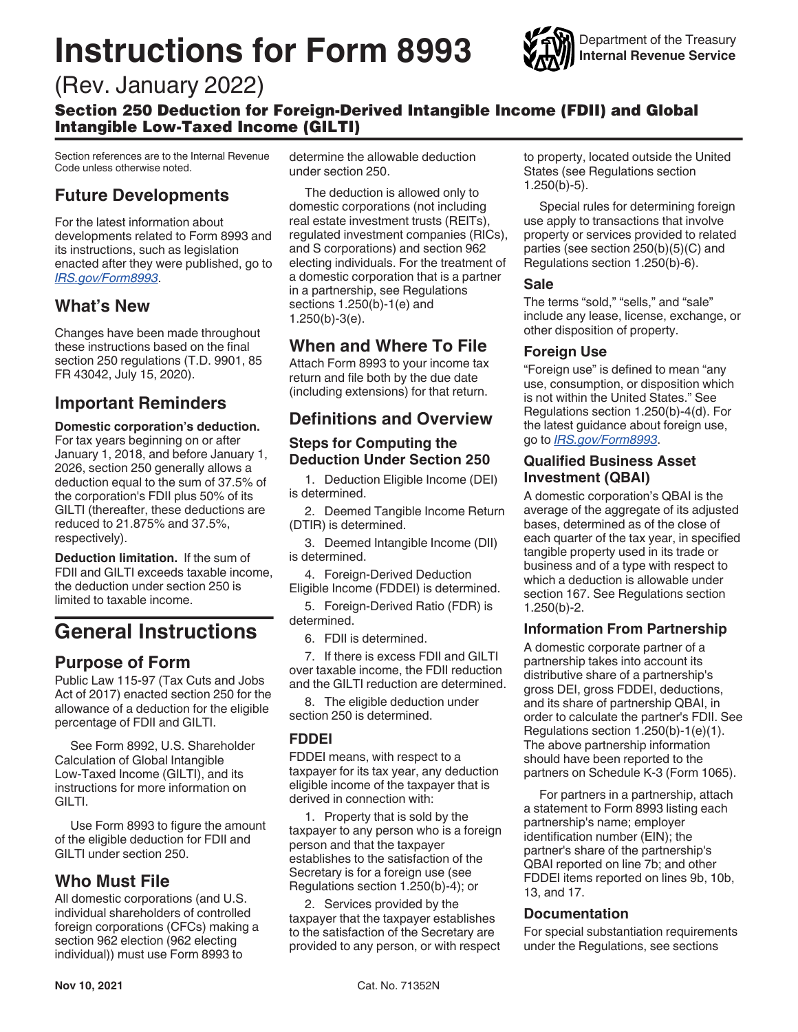# <span id="page-0-0"></span>**Instructions for Form 8993**



## (Rev. January 2022)

Section 250 Deduction for Foreign-Derived Intangible Income (FDII) and Global Intangible Low-Taxed Income (GILTI)

Section references are to the Internal Revenue Code unless otherwise noted.

## **Future Developments**

For the latest information about developments related to Form 8993 and its instructions, such as legislation enacted after they were published, go to *[IRS.gov/Form8993](https://www.irs.gov/Form8993)*.

## **What's New**

Changes have been made throughout these instructions based on the final section 250 regulations (T.D. 9901, 85 FR 43042, July 15, 2020).

## **Important Reminders**

**Domestic corporation's deduction.**  For tax years beginning on or after January 1, 2018, and before January 1, 2026, section 250 generally allows a deduction equal to the sum of 37.5% of the corporation's FDII plus 50% of its GILTI (thereafter, these deductions are reduced to 21.875% and 37.5%, respectively).

**Deduction limitation.** If the sum of FDII and GILTI exceeds taxable income, the deduction under section 250 is limited to taxable income.

## **General Instructions**

## **Purpose of Form**

Public Law 115-97 (Tax Cuts and Jobs Act of 2017) enacted section 250 for the allowance of a deduction for the eligible percentage of FDII and GILTI.

See Form 8992, U.S. Shareholder Calculation of Global Intangible Low-Taxed Income (GILTI), and its instructions for more information on GILTI.

Use Form 8993 to figure the amount of the eligible deduction for FDII and GILTI under section 250.

## **Who Must File**

All domestic corporations (and U.S. individual shareholders of controlled foreign corporations (CFCs) making a section 962 election (962 electing individual)) must use Form 8993 to

determine the allowable deduction under section 250.

The deduction is allowed only to domestic corporations (not including real estate investment trusts (REITs), regulated investment companies (RICs), and S corporations) and section 962 electing individuals. For the treatment of a domestic corporation that is a partner in a partnership, see Regulations sections 1.250(b)-1(e) and 1.250(b)-3(e).

## **When and Where To File**

Attach Form 8993 to your income tax return and file both by the due date (including extensions) for that return.

## **Definitions and Overview**

#### **Steps for Computing the Deduction Under Section 250**

1. Deduction Eligible Income (DEI) is determined.

2. Deemed Tangible Income Return (DTIR) is determined.

3. Deemed Intangible Income (DII) is determined.

4. Foreign-Derived Deduction Eligible Income (FDDEI) is determined.

5. Foreign-Derived Ratio (FDR) is determined.

6. FDII is determined.

7. If there is excess FDII and GILTI over taxable income, the FDII reduction and the GILTI reduction are determined.

8. The eligible deduction under section 250 is determined.

#### **FDDEI**

FDDEI means, with respect to a taxpayer for its tax year, any deduction eligible income of the taxpayer that is derived in connection with:

1. Property that is sold by the taxpayer to any person who is a foreign person and that the taxpayer establishes to the satisfaction of the Secretary is for a foreign use (see Regulations section 1.250(b)-4); or

2. Services provided by the taxpayer that the taxpayer establishes to the satisfaction of the Secretary are provided to any person, or with respect to property, located outside the United States (see Regulations section 1.250(b)-5).

Special rules for determining foreign use apply to transactions that involve property or services provided to related parties (see section 250(b)(5)(C) and Regulations section 1.250(b)-6).

#### **Sale**

The terms "sold," "sells," and "sale" include any lease, license, exchange, or other disposition of property.

#### **Foreign Use**

"Foreign use" is defined to mean "any use, consumption, or disposition which is not within the United States." See Regulations section 1.250(b)-4(d). For the latest guidance about foreign use, go to *[IRS.gov/Form8993](https://www.irs.gov/Form8993)*.

#### **Qualified Business Asset Investment (QBAI)**

A domestic corporation's QBAI is the average of the aggregate of its adjusted bases, determined as of the close of each quarter of the tax year, in specified tangible property used in its trade or business and of a type with respect to which a deduction is allowable under section 167. See Regulations section 1.250(b)-2.

#### **Information From Partnership**

A domestic corporate partner of a partnership takes into account its distributive share of a partnership's gross DEI, gross FDDEI, deductions, and its share of partnership QBAI, in order to calculate the partner's FDII. See Regulations section 1.250(b)-1(e)(1). The above partnership information should have been reported to the partners on Schedule K-3 (Form 1065).

For partners in a partnership, attach a statement to Form 8993 listing each partnership's name; employer identification number (EIN); the partner's share of the partnership's QBAI reported on line 7b; and other FDDEI items reported on lines 9b, 10b, 13, and 17.

#### **Documentation**

For special substantiation requirements under the Regulations, see sections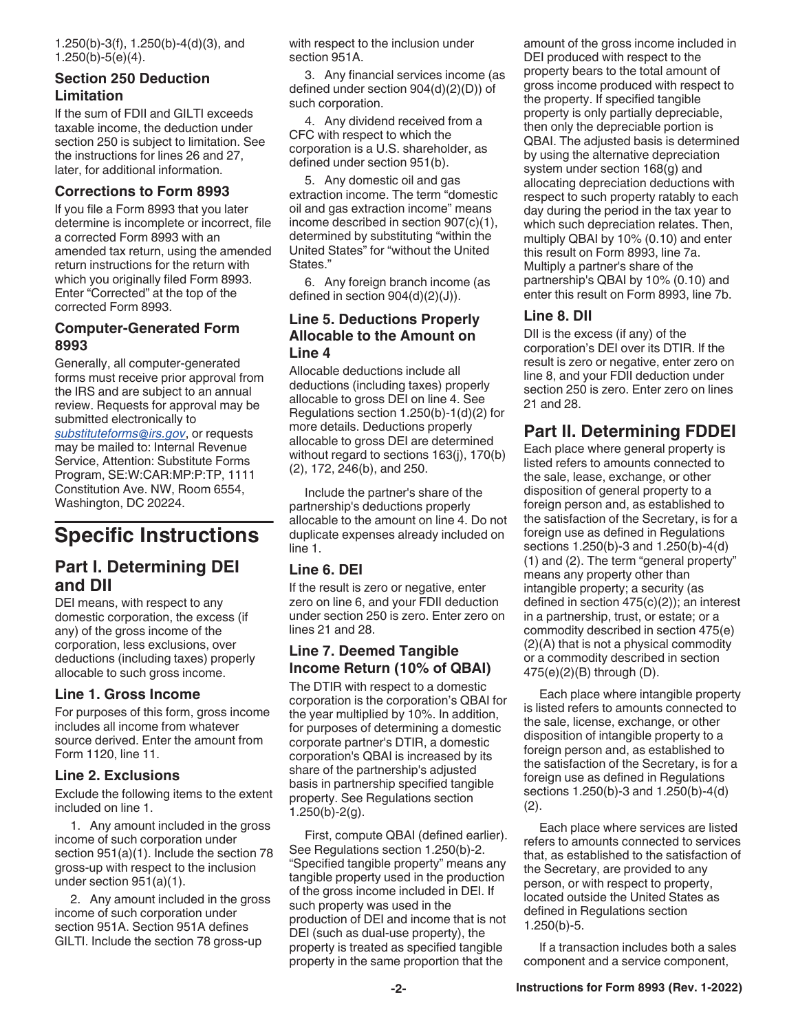1.250(b)-3(f), 1.250(b)-4(d)(3), and 1.250(b)-5(e)(4).

#### **Section 250 Deduction Limitation**

If the sum of FDII and GILTI exceeds taxable income, the deduction under section 250 is subject to limitation. See the instructions for lines 26 and 27, later, for additional information.

#### **Corrections to Form 8993**

If you file a Form 8993 that you later determine is incomplete or incorrect, file a corrected Form 8993 with an amended tax return, using the amended return instructions for the return with which you originally filed Form 8993. Enter "Corrected" at the top of the corrected Form 8993.

#### **Computer-Generated Form 8993**

Generally, all computer-generated forms must receive prior approval from the IRS and are subject to an annual review. Requests for approval may be submitted electronically to *[substituteforms@irs.gov](mailto:substituteforms@irs.gov)*, or requests may be mailed to: Internal Revenue Service, Attention: Substitute Forms Program, SE:W:CAR:MP:P:TP, 1111 Constitution Ave. NW, Room 6554, Washington, DC 20224.

## **Specific Instructions**

## **Part I. Determining DEI and DII**

DEI means, with respect to any domestic corporation, the excess (if any) of the gross income of the corporation, less exclusions, over deductions (including taxes) properly allocable to such gross income.

#### **Line 1. Gross Income**

For purposes of this form, gross income includes all income from whatever source derived. Enter the amount from Form 1120, line 11.

#### **Line 2. Exclusions**

Exclude the following items to the extent included on line 1.

1. Any amount included in the gross income of such corporation under section 951(a)(1). Include the section 78 gross-up with respect to the inclusion under section 951(a)(1).

2. Any amount included in the gross income of such corporation under section 951A. Section 951A defines GILTI. Include the section 78 gross-up

with respect to the inclusion under section 951A.

3. Any financial services income (as defined under section 904(d)(2)(D)) of such corporation.

4. Any dividend received from a CFC with respect to which the corporation is a U.S. shareholder, as defined under section 951(b).

5. Any domestic oil and gas extraction income. The term "domestic oil and gas extraction income" means income described in section 907(c)(1), determined by substituting "within the United States" for "without the United States."

6. Any foreign branch income (as defined in section 904(d)(2)(J)).

#### **Line 5. Deductions Properly Allocable to the Amount on Line 4**

Allocable deductions include all deductions (including taxes) properly allocable to gross DEI on line 4. See Regulations section 1.250(b)-1(d)(2) for more details. Deductions properly allocable to gross DEI are determined without regard to sections 163(j), 170(b) (2), 172, 246(b), and 250.

Include the partner's share of the partnership's deductions properly allocable to the amount on line 4. Do not duplicate expenses already included on line 1.

#### **Line 6. DEI**

If the result is zero or negative, enter zero on line 6, and your FDII deduction under section 250 is zero. Enter zero on lines 21 and 28.

#### **Line 7. Deemed Tangible Income Return (10% of QBAI)**

The DTIR with respect to a domestic corporation is the corporation's QBAI for the year multiplied by 10%. In addition, for purposes of determining a domestic corporate partner's DTIR, a domestic corporation's QBAI is increased by its share of the partnership's adjusted basis in partnership specified tangible property. See Regulations section  $1.250(b)-2(g)$ .

First, compute QBAI (defined earlier). See Regulations section 1.250(b)-2. "Specified tangible property" means any tangible property used in the production of the gross income included in DEI. If such property was used in the production of DEI and income that is not DEI (such as dual-use property), the property is treated as specified tangible property in the same proportion that the

amount of the gross income included in DEI produced with respect to the property bears to the total amount of gross income produced with respect to the property. If specified tangible property is only partially depreciable, then only the depreciable portion is QBAI. The adjusted basis is determined by using the alternative depreciation system under section 168(g) and allocating depreciation deductions with respect to such property ratably to each day during the period in the tax year to which such depreciation relates. Then, multiply QBAI by 10% (0.10) and enter this result on Form 8993, line 7a. Multiply a partner's share of the partnership's QBAI by 10% (0.10) and enter this result on Form 8993, line 7b.

#### **Line 8. DII**

DII is the excess (if any) of the corporation's DEI over its DTIR. If the result is zero or negative, enter zero on line 8, and your FDII deduction under section 250 is zero. Enter zero on lines 21 and 28.

## **Part II. Determining FDDEI**

Each place where general property is listed refers to amounts connected to the sale, lease, exchange, or other disposition of general property to a foreign person and, as established to the satisfaction of the Secretary, is for a foreign use as defined in Regulations sections 1.250(b)-3 and 1.250(b)-4(d) (1) and (2). The term "general property" means any property other than intangible property; a security (as defined in section 475(c)(2)); an interest in a partnership, trust, or estate; or a commodity described in section 475(e) (2)(A) that is not a physical commodity or a commodity described in section 475(e)(2)(B) through (D).

Each place where intangible property is listed refers to amounts connected to the sale, license, exchange, or other disposition of intangible property to a foreign person and, as established to the satisfaction of the Secretary, is for a foreign use as defined in Regulations sections 1.250(b)-3 and 1.250(b)-4(d) (2).

Each place where services are listed refers to amounts connected to services that, as established to the satisfaction of the Secretary, are provided to any person, or with respect to property, located outside the United States as defined in Regulations section 1.250(b)-5.

If a transaction includes both a sales component and a service component,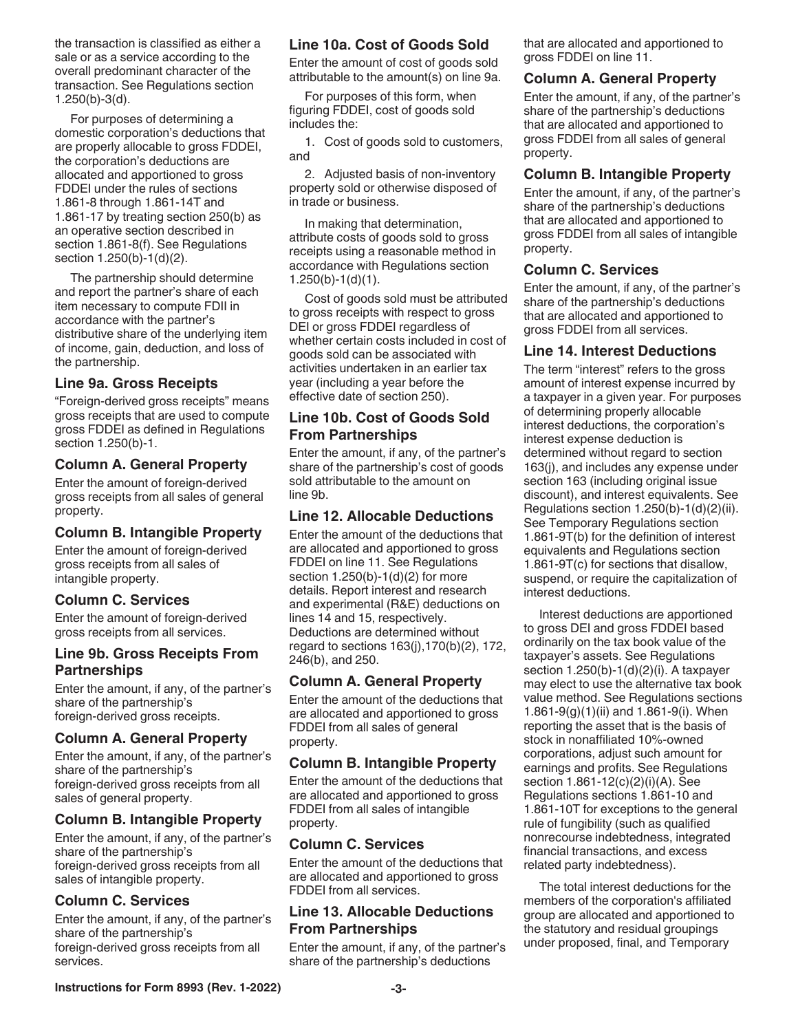the transaction is classified as either a sale or as a service according to the overall predominant character of the transaction. See Regulations section 1.250(b)-3(d).

For purposes of determining a domestic corporation's deductions that are properly allocable to gross FDDEI, the corporation's deductions are allocated and apportioned to gross FDDEI under the rules of sections 1.861-8 through 1.861-14T and 1.861-17 by treating section 250(b) as an operative section described in section 1.861-8(f). See Regulations section 1.250(b)-1(d)(2).

The partnership should determine and report the partner's share of each item necessary to compute FDII in accordance with the partner's distributive share of the underlying item of income, gain, deduction, and loss of the partnership.

#### **Line 9a. Gross Receipts**

"Foreign-derived gross receipts" means gross receipts that are used to compute gross FDDEI as defined in Regulations section 1.250(b)-1.

#### **Column A. General Property**

Enter the amount of foreign-derived gross receipts from all sales of general property.

#### **Column B. Intangible Property**

Enter the amount of foreign-derived gross receipts from all sales of intangible property.

#### **Column C. Services**

Enter the amount of foreign-derived gross receipts from all services.

#### **Line 9b. Gross Receipts From Partnerships**

Enter the amount, if any, of the partner's share of the partnership's foreign-derived gross receipts.

#### **Column A. General Property**

Enter the amount, if any, of the partner's share of the partnership's foreign-derived gross receipts from all sales of general property.

#### **Column B. Intangible Property**

Enter the amount, if any, of the partner's share of the partnership's foreign-derived gross receipts from all sales of intangible property.

#### **Column C. Services**

Enter the amount, if any, of the partner's share of the partnership's foreign-derived gross receipts from all services.

#### **Line 10a. Cost of Goods Sold**

Enter the amount of cost of goods sold attributable to the amount(s) on line 9a.

For purposes of this form, when figuring FDDEI, cost of goods sold includes the:

1. Cost of goods sold to customers, and

2. Adjusted basis of non-inventory property sold or otherwise disposed of in trade or business.

In making that determination, attribute costs of goods sold to gross receipts using a reasonable method in accordance with Regulations section 1.250(b)-1(d)(1).

Cost of goods sold must be attributed to gross receipts with respect to gross DEI or gross FDDEI regardless of whether certain costs included in cost of goods sold can be associated with activities undertaken in an earlier tax year (including a year before the effective date of section 250).

#### **Line 10b. Cost of Goods Sold From Partnerships**

Enter the amount, if any, of the partner's share of the partnership's cost of goods sold attributable to the amount on line 9b.

#### **Line 12. Allocable Deductions**

Enter the amount of the deductions that are allocated and apportioned to gross FDDEI on line 11. See Regulations section 1.250(b)-1(d)(2) for more details. Report interest and research and experimental (R&E) deductions on lines 14 and 15, respectively. Deductions are determined without regard to sections 163(j),170(b)(2), 172, 246(b), and 250.

#### **Column A. General Property**

Enter the amount of the deductions that are allocated and apportioned to gross FDDEI from all sales of general property.

#### **Column B. Intangible Property**

Enter the amount of the deductions that are allocated and apportioned to gross FDDEI from all sales of intangible property.

#### **Column C. Services**

Enter the amount of the deductions that are allocated and apportioned to gross FDDEI from all services.

#### **Line 13. Allocable Deductions From Partnerships**

Enter the amount, if any, of the partner's share of the partnership's deductions

that are allocated and apportioned to gross FDDEI on line 11.

#### **Column A. General Property**

Enter the amount, if any, of the partner's share of the partnership's deductions that are allocated and apportioned to gross FDDEI from all sales of general property.

#### **Column B. Intangible Property**

Enter the amount, if any, of the partner's share of the partnership's deductions that are allocated and apportioned to gross FDDEI from all sales of intangible property.

#### **Column C. Services**

Enter the amount, if any, of the partner's share of the partnership's deductions that are allocated and apportioned to gross FDDEI from all services.

#### **Line 14. Interest Deductions**

The term "interest" refers to the gross amount of interest expense incurred by a taxpayer in a given year. For purposes of determining properly allocable interest deductions, the corporation's interest expense deduction is determined without regard to section 163(j), and includes any expense under section 163 (including original issue discount), and interest equivalents. See Regulations section 1.250(b)-1(d)(2)(ii). See Temporary Regulations section 1.861-9T(b) for the definition of interest equivalents and Regulations section 1.861-9T(c) for sections that disallow, suspend, or require the capitalization of interest deductions.

Interest deductions are apportioned to gross DEI and gross FDDEI based ordinarily on the tax book value of the taxpayer's assets. See Regulations section  $1.250(b)-1(d)(2)(i)$ . A taxpayer may elect to use the alternative tax book value method. See Regulations sections 1.861-9(g)(1)(ii) and 1.861-9(i). When reporting the asset that is the basis of stock in nonaffiliated 10%-owned corporations, adjust such amount for earnings and profits. See Regulations section 1.861-12(c)(2)(i)(A). See Regulations sections 1.861-10 and 1.861-10T for exceptions to the general rule of fungibility (such as qualified nonrecourse indebtedness, integrated financial transactions, and excess related party indebtedness).

The total interest deductions for the members of the corporation's affiliated group are allocated and apportioned to the statutory and residual groupings under proposed, final, and Temporary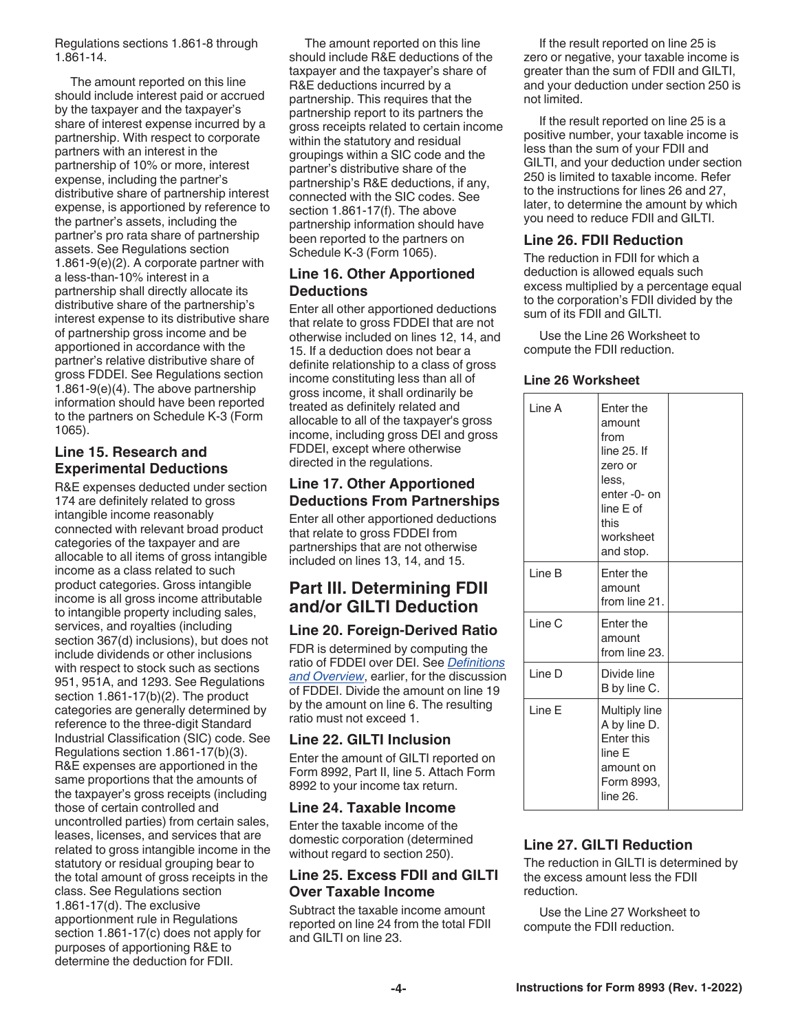Regulations sections 1.861-8 through 1.861-14.

The amount reported on this line should include interest paid or accrued by the taxpayer and the taxpayer's share of interest expense incurred by a partnership. With respect to corporate partners with an interest in the partnership of 10% or more, interest expense, including the partner's distributive share of partnership interest expense, is apportioned by reference to the partner's assets, including the partner's pro rata share of partnership assets. See Regulations section 1.861-9(e)(2). A corporate partner with a less-than-10% interest in a partnership shall directly allocate its distributive share of the partnership's interest expense to its distributive share of partnership gross income and be apportioned in accordance with the partner's relative distributive share of gross FDDEI. See Regulations section 1.861-9(e)(4). The above partnership information should have been reported to the partners on Schedule K-3 (Form 1065).

#### **Line 15. Research and Experimental Deductions**

R&E expenses deducted under section 174 are definitely related to gross intangible income reasonably connected with relevant broad product categories of the taxpayer and are allocable to all items of gross intangible income as a class related to such product categories. Gross intangible income is all gross income attributable to intangible property including sales, services, and royalties (including section 367(d) inclusions), but does not include dividends or other inclusions with respect to stock such as sections 951, 951A, and 1293. See Regulations section 1.861-17(b)(2). The product categories are generally determined by reference to the three-digit Standard Industrial Classification (SIC) code. See Regulations section 1.861-17(b)(3). R&E expenses are apportioned in the same proportions that the amounts of the taxpayer's gross receipts (including those of certain controlled and uncontrolled parties) from certain sales, leases, licenses, and services that are related to gross intangible income in the statutory or residual grouping bear to the total amount of gross receipts in the class. See Regulations section 1.861-17(d). The exclusive apportionment rule in Regulations section 1.861-17(c) does not apply for purposes of apportioning R&E to determine the deduction for FDII.

The amount reported on this line should include R&E deductions of the taxpayer and the taxpayer's share of R&E deductions incurred by a partnership. This requires that the partnership report to its partners the gross receipts related to certain income within the statutory and residual groupings within a SIC code and the partner's distributive share of the partnership's R&E deductions, if any, connected with the SIC codes. See section 1.861-17(f). The above partnership information should have been reported to the partners on Schedule K-3 (Form 1065).

#### **Line 16. Other Apportioned Deductions**

Enter all other apportioned deductions that relate to gross FDDEI that are not otherwise included on lines 12, 14, and 15. If a deduction does not bear a definite relationship to a class of gross income constituting less than all of gross income, it shall ordinarily be treated as definitely related and allocable to all of the taxpayer's gross income, including gross DEI and gross FDDEI, except where otherwise directed in the regulations.

#### **Line 17. Other Apportioned Deductions From Partnerships**

Enter all other apportioned deductions that relate to gross FDDEI from partnerships that are not otherwise included on lines 13, 14, and 15.

## **Part III. Determining FDII and/or GILTI Deduction**

## **Line 20. Foreign-Derived Ratio**

FDR is determined by computing the ratio of FDDEI over DEI. See *[Definitions](#page-0-0)  [and Overview](#page-0-0)*, earlier, for the discussion of FDDEI. Divide the amount on line 19 by the amount on line 6. The resulting ratio must not exceed 1.

#### **Line 22. GILTI Inclusion**

Enter the amount of GILTI reported on Form 8992, Part II, line 5. Attach Form 8992 to your income tax return.

## **Line 24. Taxable Income**

Enter the taxable income of the domestic corporation (determined without regard to section 250).

#### **Line 25. Excess FDII and GILTI Over Taxable Income**

Subtract the taxable income amount reported on line 24 from the total FDII and GILTI on line 23.

If the result reported on line 25 is zero or negative, your taxable income is greater than the sum of FDII and GILTI, and your deduction under section 250 is not limited.

If the result reported on line 25 is a positive number, your taxable income is less than the sum of your FDII and GILTI, and your deduction under section 250 is limited to taxable income. Refer to the instructions for lines 26 and 27, later, to determine the amount by which you need to reduce FDII and GILTI.

## **Line 26. FDII Reduction**

The reduction in FDII for which a deduction is allowed equals such excess multiplied by a percentage equal to the corporation's FDII divided by the sum of its FDII and GILTI.

Use the Line 26 Worksheet to compute the FDII reduction.

#### **Line 26 Worksheet**

| Line A            | Enter the<br>amount<br>from<br>line $25.$ If<br>zero or<br>less.<br>enter-0- on<br>line E of<br>this<br>worksheet<br>and stop. |  |
|-------------------|--------------------------------------------------------------------------------------------------------------------------------|--|
| Line B            | Enter the<br>amount<br>from line 21.                                                                                           |  |
| Line <sub>C</sub> | Enter the<br>amount<br>from line 23.                                                                                           |  |
| Line D            | Divide line<br>B by line C.                                                                                                    |  |
| Line E            | Multiply line<br>A by line D.<br><b>Enter this</b><br>line E<br>amount on<br>Form 8993,<br>line 26.                            |  |

## **Line 27. GILTI Reduction**

The reduction in GILTI is determined by the excess amount less the FDII reduction.

Use the Line 27 Worksheet to compute the FDII reduction.